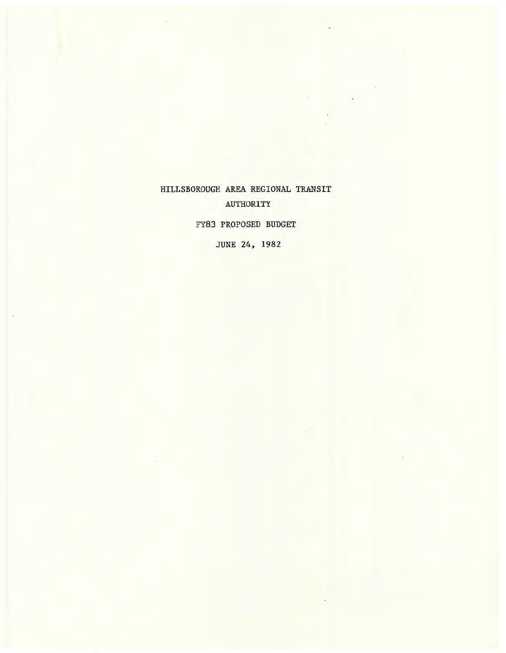HILLSBOROUGH AREA REGIONAL TRANSIT AUTHORITY

FY83 PROPOSED BUDGET

JUNE 24, 1982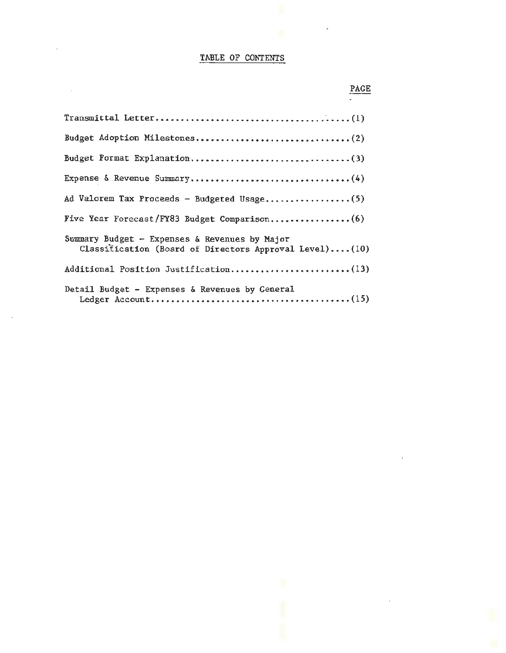# TABLE OF CONTENTS

 $\hat{\mathcal{A}}$ 

 $\ddot{\phantom{a}}$ 

| Ad Valorem Tax Proceeds - Budgeted Usage(5)                                                             |
|---------------------------------------------------------------------------------------------------------|
| Five Year Forecast/FY83 Budget Comparison(6)                                                            |
| Summary Budget - Expenses & Revenues by Major<br>Classification (Board of Directors Approval Level)(10) |
| Additional Position Justification(13)                                                                   |
| Detail Budget - Expenses & Revenues by General                                                          |

 $\bar{z}$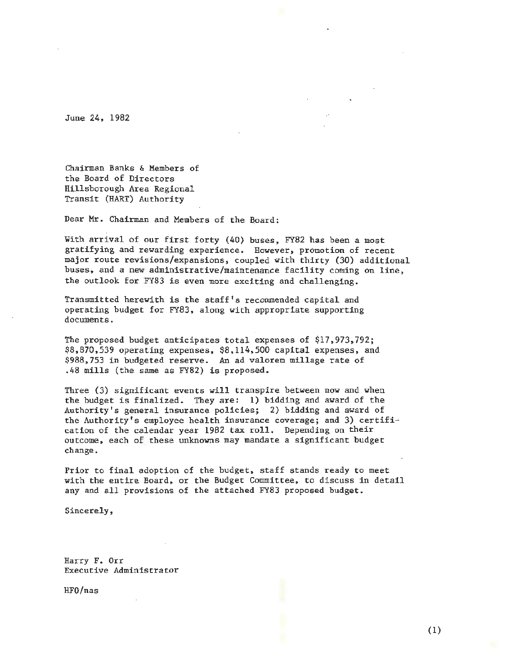June 24, 1982

Chairman Banks & Members of the Board of Directors Hillsborough Area Regional Transit (HART) Authority

Dear Mr. Chairman and Members of the Board:

With arrival of our first forty (40) buses, FY82 has been a most gratifying and rewarding experience. However, promotion of recent major route revisions/expansions, coupled with thirty (30) additional buses, and a new administrative/maintenance facility coming on line, the outlook for FY83 is even more exciting and challenging.

Transmitted herewith is the staff's recommended capital and operating budget for FY83, along with appropriate supporting documents.

The proposed budget anticipates total expenses of \$17,973,792; \$8,870,539 operating expenses, \$8,114,500 capital expenses, and \$988,753 in budgeted reserve. An ad valorem millage rate of .48 mills (the same as FY82) is proposed.

Three (3) significant events will transpire between now and when the budget is finalized. They are: 1) bidding and award of the Authority's general insurance policies; 2) bidding and award of the Authority's employee health insurance coverage; and 3) certification of the calendar year 1982 tax roll. Depending on their outcome, each of these unknowns may mandate a significant budget change.

Prior to final adoption of the budget, staff stands ready to meet with the entire Board, or the Budget Committee, to discuss in detail any and all provisions of the attached FY83 proposed budget.

Sincerely,

Harry F. Orr Executive Administrator

HFO/nas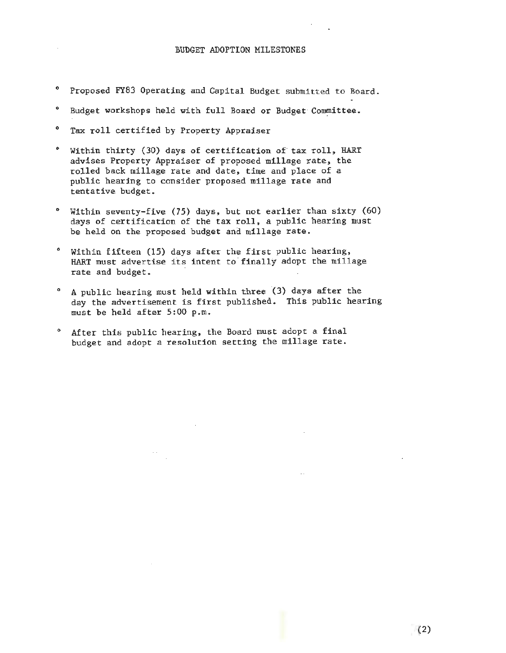- 0 Proposed FY83 Operating and Capital Budget submitted to Board.
- $\bullet$ Budget workshops held with full Board or Budget Committee .
- $\bullet$ Tax roll certified by Property Appraiser
- 0 Within thirty (30) days of certification of· tax roll, HART advises Property Appraiser of proposed millage rate, the rolled back millage rate and date, time and place of a public hearing to consider proposed millage rate and tentative budget.
- ° Within seventy-five (75) days, but not earlier than sixty (60) days of certification of the tax roll, a public hearing must be held on the proposed budget and millage rate.
- 0 Within fifteen (15) days after the first public hearing, HART must advertise its intent to finally adopt the millage rate and budget.
- $\bullet$ A public hearing must held within three (3) days after the day the advertisement is first published. This public hearing must be held after 5:00 p.m.
- $\bullet$ After this public hearing, the Board must adopt a final budget and adopt a resolution setting the millage rate.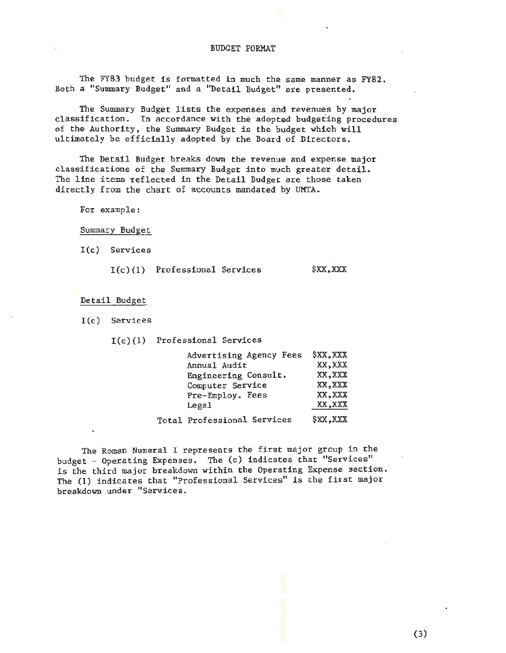### BUDGET FORMAT

The FY83 budget is formatted in much the same manner as FY82. Both a "Summary Budget" and a "Detail Budget" are presented.

The Summary Budget lists the expenses and revenues by major classification. In accordance with the adopted budgeting procedures of the Authority, the Summary Budget is the budget which will ultimately be officially adopted by the Board of Directors.

The Detail Budget breaks down the revenue and expense major classifications of the Summary Budget into much greater detail. The line items reflected in the Detail Budget are those taken directly from the chart of accounts mandated by UMTA.

For example:

Summary Budget

I(c) Services

I(c)(l) Professional Services \$XX,XXX

Detail Budget

I(c) Services

I(c)(l) Professional Services

| Advertising Agency Fees            | \$XX, XXX |
|------------------------------------|-----------|
| Annual Audit                       | XX, XXX   |
| Engineering Consult.               | XX, XXX   |
| Computer Service                   | XX, XXX   |
| Pre-Employ. Fees                   | XX, XXX   |
| Legal                              | XX, XXX   |
| <b>Total Professional Services</b> | \$XX, XXX |

The Roman Numeral I represents the first major group in the budget - Operating Expenses. The (c) indicates that "Services" is the third major breakdown within the Operating Expense section. The (1) indicates that "Professional Services" is the first major breakdown under " Services.

(3)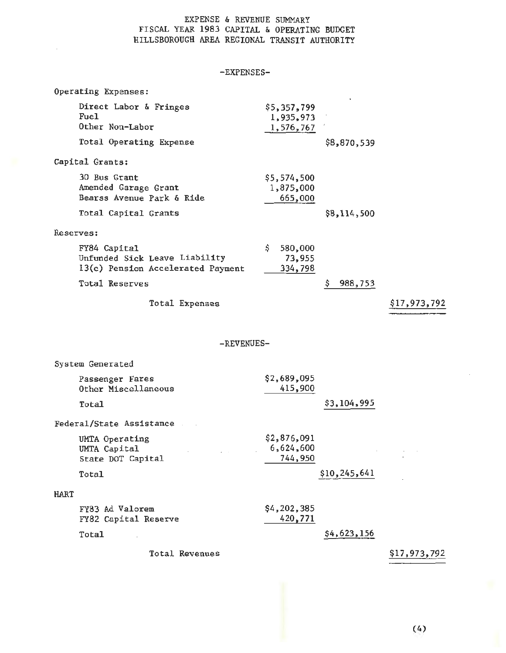### EXPENSE & REVENUE SUMMARY FISCAL YEAR 1983 CAPITAL & OPERATING BUDGET HILLSBOROUGH AREA REGIONAL TRANSIT AUTHORITY

-EXPENSES-

|             | Operating Expenses:                                                                |                                       |               |              |
|-------------|------------------------------------------------------------------------------------|---------------------------------------|---------------|--------------|
|             | Direct Labor & Fringes<br>Fuel<br>Other Non-Labor                                  | \$5,357,799<br>1,935,973<br>1,576,767 |               |              |
|             | Total Operating Expense                                                            |                                       | \$8,870,539   |              |
|             | Capital Grants:                                                                    |                                       |               |              |
|             | 30 Bus Grant<br>Amended Garage Grant<br>Bearss Avenue Park & Ride                  | \$5,574,500<br>1,875,000<br>665,000   |               |              |
|             | Total Capital Grants                                                               |                                       | \$8,114,500   |              |
| Reserves:   |                                                                                    |                                       |               |              |
|             | FY84 Capital<br>Unfunded Sick Leave Liability<br>13(c) Pension Accelerated Payment | \$<br>580,000<br>73,955<br>334,798    |               |              |
|             | Total Reserves                                                                     |                                       | \$<br>988,753 |              |
|             | Total Expenses                                                                     |                                       |               | \$17,973,792 |
|             | -REVENUES-                                                                         |                                       |               |              |
|             | System Generated                                                                   |                                       |               |              |
|             | Passenger Fares<br>Other Miscellaneous                                             | \$2,689,095<br>415,900                |               |              |
|             | Total                                                                              |                                       | \$3,104,995   |              |
|             | Federal/State Assistance                                                           |                                       |               |              |
|             | UMTA Operating<br>UMTA Capital<br>State DOT Capital                                | \$2,876,091<br>6,624,600<br>744,950   | $\mathcal{L}$ | $\sim$       |
|             | Total                                                                              |                                       | \$10,245,641  |              |
| <b>HART</b> |                                                                                    |                                       |               |              |
|             | FY83 Ad Valorem<br>FY82 Capital Reserve                                            | \$4,202,385<br>420,771                |               |              |
|             | Total                                                                              |                                       | \$4,623,156   |              |
|             | Total Revenues                                                                     |                                       |               | \$17,973,792 |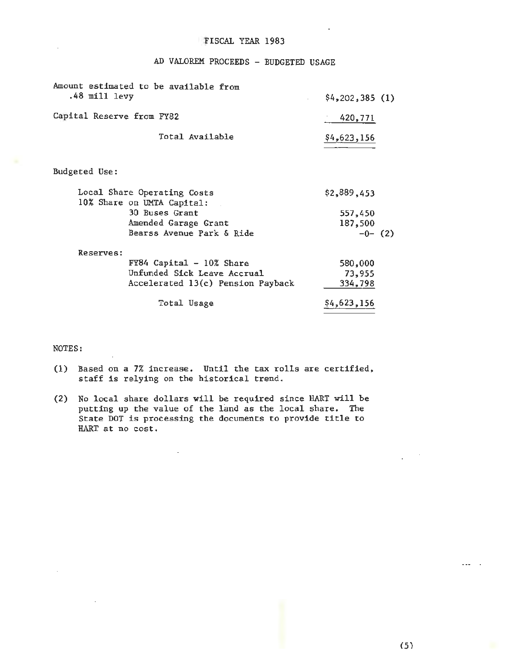### FISCAL YEAR 1983

AD VALOREM PROCEEDS - BUDGETED USAGE

| Amount estimated to be available from<br>.48 mill levy    | \$4,202,385(1) |  |
|-----------------------------------------------------------|----------------|--|
| Capital Reserve from FY82                                 | 420,771        |  |
| Total Available                                           | \$4,623,156    |  |
| Budgeted Use:                                             |                |  |
| Local Share Operating Costs<br>10% Share on UMTA Capital: | \$2,889,453    |  |
| 30 Buses Grant                                            | 557,450        |  |
| Amended Garage Grant                                      | 187,500        |  |
| Bearss Avenue Park & Ride                                 | $-0-$ (2)      |  |
| <b>Reserves:</b>                                          |                |  |
| $FY84$ Capital - 10% Share                                | 580,000        |  |
| Unfunded Sick Leave Accrual                               | 73,955         |  |
| Accelerated 13(c) Pension Payback                         | 334,798        |  |
| Total Usage                                               | \$4,623,156    |  |

### NOTES:

- (1) Based on a 7% increase. Until the tax rolls are certified, staff is relying on the historical trend.
- (2) No local share dollars will be required since HART will be putting up the value of the land as the local share. The State DOT is processing the documents to provide title to HART at no cost.

 $\overline{\phantom{a}}$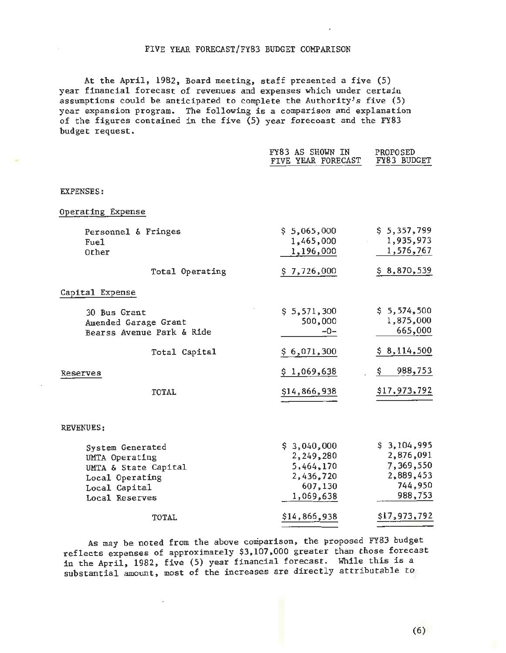### FIVE YEAR FORECAST/FY83 BUDGET COMPARISON

At the April, 1982, Board meeting, staff presented a five (5) year financial forecast of revenues and expenses which under certain assumptions could be anticipated to complete the Authority's five (5) year expansion program. The following is a comparison and explanation of the figures contained in the five  $(5)$  year forecoast and the FY83 budget request.

|                                    | FY83 AS SHOWN IN<br>FIVE YEAR FORECAST | PROPOSED<br>FY83 BUDGET |
|------------------------------------|----------------------------------------|-------------------------|
| <b>EXPENSES:</b>                   |                                        |                         |
| Operating Expense                  |                                        |                         |
| Personnel & Fringes                | \$5,065,000                            | \$5,357,799             |
| Fue <sub>1</sub><br>Other          | 1,465,000<br>1,196,000                 | 1,935,973<br>1,576,767  |
| Total Operating                    | \$7,726,000                            | \$8,870,539             |
| Capital Expense                    |                                        |                         |
| 30 Bus Grant                       | \$5,571,300                            | \$5,574,500             |
| Amended Garage Grant               | 500,000<br>$-0-$                       | 1,875,000<br>665,000    |
| Bearss Avenue Park & Ride          |                                        |                         |
| Total Capital                      | \$6,071,300                            | \$8,114,500             |
| Reserves                           | \$1,069,638                            | 988,753<br>\$.          |
| TOTAL                              | \$14,866,938                           | <u>\$17,973,792</u>     |
| REVENUES:                          |                                        |                         |
|                                    |                                        | \$3,104,995             |
| System Generated<br>UMTA Operating | \$3,040,000<br>2,249,280               | 2,876,091               |
| UMTA & State Capital               | 5,464,170                              | 7,369,550               |
| Local Operating                    | 2,436,720                              | 2,889,453               |
| Local Capital                      | 607,130                                | 744,950                 |
| Local Reserves                     | 1,069,638                              | 988,753                 |
| TOTAL                              | \$14,866,938                           | \$17,973,792            |

As may be noted from the above comparison, the proposed FY83 budget reflects expenses of approximately \$3,107,000 greater than those forecast in the April, 1982, five (5) year financial forecast. While this is a substantial amount, most of the increases are directly attributable to

(6)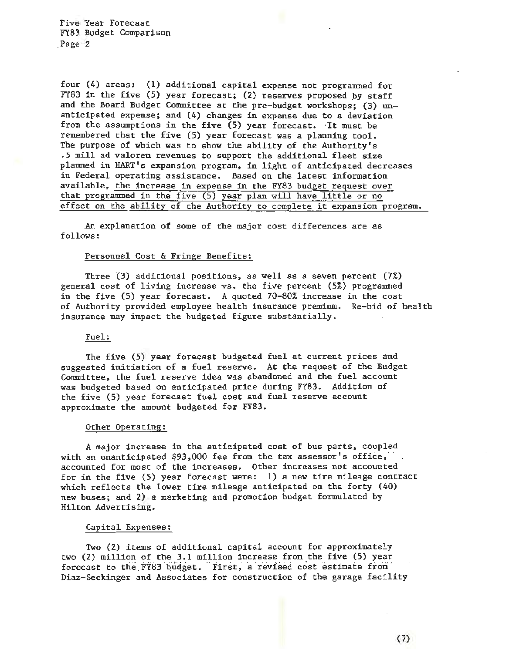Five Year Forecast FY83 Budget Comparison Page 2

four (4) areas: (1) additional capital expense not programmed for FY83 in the five (5) year forecast; (2) reserves proposed *py* staff and the Board Budget Committee at the pre-budget workshops; (3) unanticipated expense; and (4) changes in expense due to a deviation from the assumptions in the five  $(5)$  year forecast. It must be remembered that the five (5) year forecast was a planning tool. The purpose of which was to show the ability of the Authority's .5 mill ad valorem revenues to support the additional fleet size planned in HART's expansion program, in light of anticipated decreases in Federal operating assistance. Based on the latest information available, the increase in expense in the FY83 budget request over that programmed in the five  $(5)$  year plan will have little or no effect on the ability of the Authority to complete it expansion program.

An explanation of some of the major cost differences are as fol lows:

### Personnel Cost & Fringe Benefits:

Three {3) additional positions, as well as a seven percent (7%) general cost of living increase  $\forall s$ . the five percent  $(5%)$  programmed in the five (5) year forecast. A quoted 70-80% increase in the cost of Authority provided employee health insurance premium. Re-bid of health insurance may impact the budgeted figure substantially.

#### Fuel:

The five (5) year forecast budgeted fuel at current prices and suggested initiation of a fuel reserve. At the request of the Budget Committee, the fuel reserve idea was abandoned and the fuel account was budgeted based on anticipated price during FY83. Addition of the five (5) year forecast fuel cost and fuel reserve account approximate the amount budgeted for FY83.

#### Other Operating:

A major increase in the anticipated cost of bus parts, coupled with an unanticipated  $$93,000$  fee from the tax assessor's office, accounted for most of the increases. Other increases not accounted for in the five (5) year forecast were: 1) a new tire mileage contract which reflects the lower tire mileage anticipated on the forty (40) new buses; and 2) a marketing and promotion budget formulated by Hilton Advertising.

#### Capital Expenses:

Two (2) items of additional capital account for approximately two (2) million of the 3.1 million increase from the five (5) year forecast to the FY83 budget. First, a revised cost estimate from Diaz-Seckinger and Associates for construction of the garage facility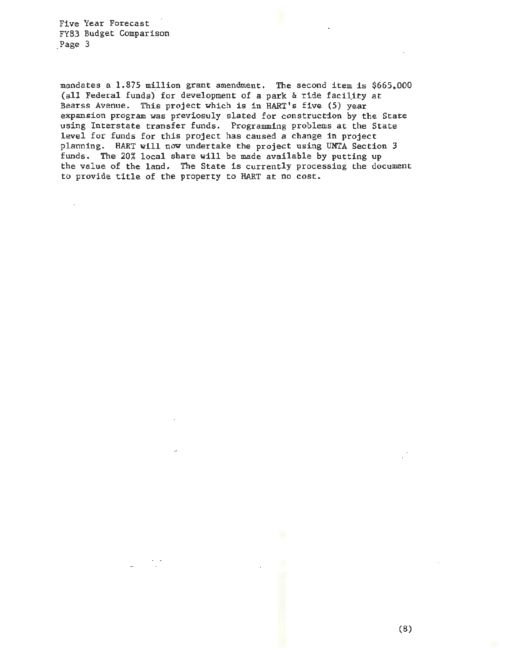Five Year Forecast FY83 Budget Comparison Page 3

 $\mathcal{L}$ 

mandates a 1.875 million grant amendment. The second item is \$665,000 (all Federal funds)° for development of a park & ride faciiity at Bearss Avenue. This project which is in HART's five (5) year expansion program was previosuly slated for construction by the State using Interstate transfer funds. Programming problems at the State level for funds for this project has caused a change in project planning. HART will now undertake the project using UMTA Section 3 funds. The 20% local share will be made available by putting up the value of the land. The State is currently processing the document to provide title of the property to HART at no cost.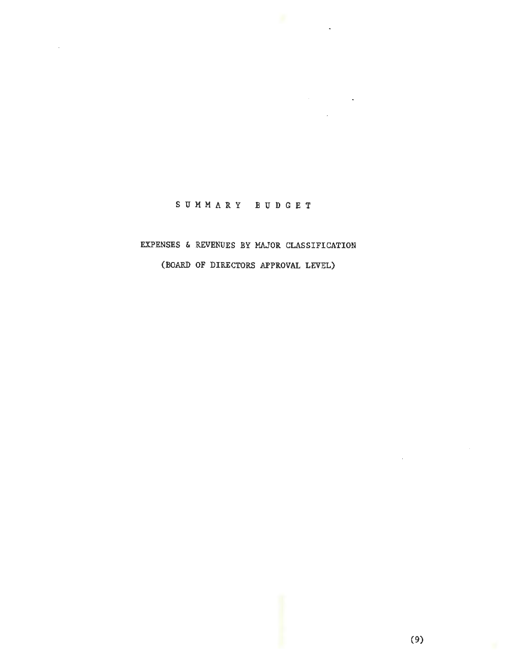# SUMMARY BUDGET

Service Contractor

# EXPENSES & REVENUES BY MAJOR CLASSIFICATION

(BOARD OF DIRECTORS APPROVAL LEVEL)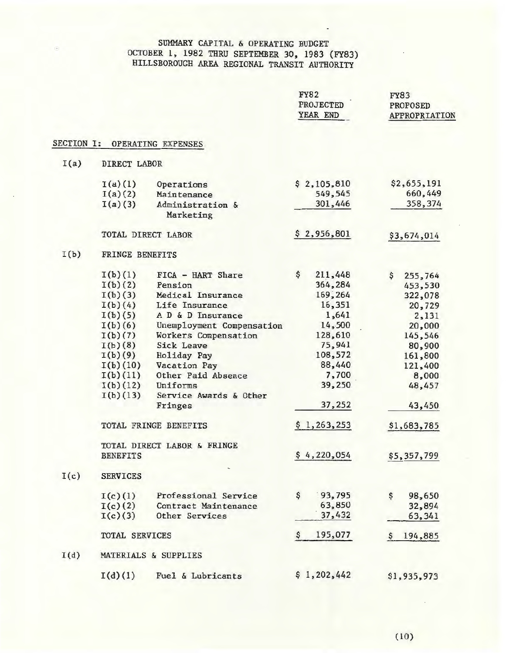## SUMMARY CAPITAL & OPERATING BUDGET OCTOBER 1, 1982 THRU SEPTEMBER 30, 1983 (FY83) HILLSBOROUGH AREA REGIONAL TRANSIT AUTHORITY

|                   |                     |                               | <b>FY82</b><br><b>PROJECTED</b><br>YEAR END | <b>FY83</b><br><b>PROPOSED</b><br>APPROPRIATION |
|-------------------|---------------------|-------------------------------|---------------------------------------------|-------------------------------------------------|
| <b>SECTION I:</b> |                     | OPERATING EXPENSES            |                                             |                                                 |
| I(a)              | <b>DIRECT LABOR</b> |                               |                                             |                                                 |
|                   | I(a)(1)             | Operations                    | \$2,105,810                                 | \$2,655,191                                     |
|                   | I(a)(2)             | Maintenance                   | 549,545                                     | 660,449                                         |
|                   | I(a)(3)             | Administration &<br>Marketing | 301,446                                     | 358,374                                         |
|                   | TOTAL DIRECT LABOR  |                               | \$2,956,801                                 | \$3,674,014                                     |
| I(b)              | FRINGE BENEFITS     |                               |                                             |                                                 |
|                   | I(b)(1)             | FICA - HART Share             | \$<br>211,448                               | $\mathsf{S}$<br>255,764                         |
|                   | I(b)(2)             | Pension                       | 364,284                                     | 453,530                                         |
|                   | I(b)(3)             | Medical Insurance             | 169,264                                     | 322,078                                         |
|                   | I(b)(4)             | Life Insurance                | 16,351                                      | 20,729                                          |
|                   | I(b)(5)             | A D & D Insurance             | 1,641                                       | 2,131                                           |
|                   | I(b)(6)             | Unemployment Compensation     | 14,500                                      | 20,000                                          |
|                   | I(b)(7)             | Workers Compensation          | 128,610                                     | 145,546                                         |
|                   | I(b)(8)             | <b>Sick Leave</b>             | 75,941                                      | 80,900                                          |
|                   | I(b)(9)             | Holiday Pay                   | 108,572                                     | 161,800                                         |
|                   | I(b)(10)            | Vacation Pay                  | 88,440                                      | 121,400                                         |
|                   | I(b)(11)            | Other Paid Absence            | 7,700                                       | 8,000                                           |
|                   | I(b)(12)            | Uniforms                      | 39,250                                      | 48,457                                          |
|                   | I(b)(13)            | Service Awards & Other        |                                             |                                                 |
|                   |                     | Fringes                       | 37,252                                      | 43,450                                          |
|                   |                     | TOTAL FRINGE BENEFITS         | \$1,263,253                                 | \$1,683,785                                     |
|                   |                     | TOTAL DIRECT LABOR & FRINGE   |                                             |                                                 |
|                   | <b>BENEFITS</b>     |                               | \$4,220,054                                 | \$5,357,799                                     |
| I(c)              | <b>SERVICES</b>     |                               |                                             |                                                 |
|                   | I(c)(1)             | Professional Service          | \$<br>93,795                                | \$<br>98,650                                    |
|                   | I(c)(2)             | Contract Maintenance          | 63,850                                      | 32,894                                          |
|                   | I(c)(3)             | Other Services                | 37,432                                      | 63,341                                          |
|                   | TOTAL SERVICES      |                               | 195,077<br>$\frac{1}{2}$                    | 194,885<br>s                                    |
| I(d)              |                     | MATERIALS & SUPPLIES          |                                             |                                                 |
|                   | I(d)(1)             | Fuel & Lubricants             | \$1,202,442                                 | \$1,935,973                                     |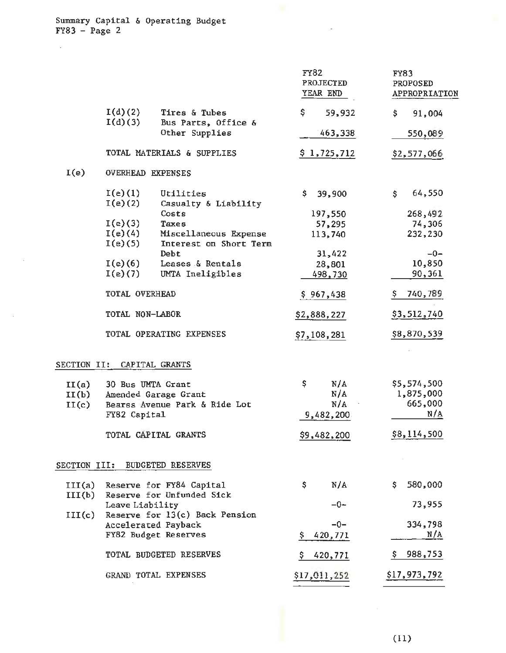Summary Capital & Operating Budget FY83 - Page 2

 $\mathcal{L}$ 

|                         |                                   |                                                       | <b>FY82</b><br><b>PROJECTED</b><br>YEAR END | <b>FY83</b><br><b>PROPOSED</b><br>APPROPRIATION |
|-------------------------|-----------------------------------|-------------------------------------------------------|---------------------------------------------|-------------------------------------------------|
|                         | I(d)(2)                           | Tires & Tubes                                         | \$.<br>59,932                               | \$<br>91,004                                    |
|                         | I(d)(3)                           | Bus Parts, Office &<br>Other Supplies                 | 463,338                                     | 550,089                                         |
|                         |                                   | TOTAL MATERIALS & SUPPLIES                            | \$1,725,712                                 | \$2,577,066                                     |
| I(e)                    | <b>OVERHEAD EXPENSES</b>          |                                                       |                                             |                                                 |
|                         | I(e)(1)<br>I(e)(2)                | Utilities<br>Casualty & Liability                     | \$.<br>39,900                               | 64,550<br>\$.                                   |
|                         | I(e)(3)<br>I(e)(4)                | Costs<br>Taxes<br>Miscellaneous Expense               | 197,550<br>57,295<br>113,740                | 268,492<br>74,306<br>232,230                    |
|                         | I(e)(5)<br>$I(e)$ (6)             | Interest on Short Term<br>Debt<br>Leases & Rentals    | 31,422                                      | $-0-$<br>10,850                                 |
|                         | I(e)(7)                           | UMTA Ineligibles                                      | 28,801<br>498,730                           | 90,361                                          |
|                         | TOTAL OVERHEAD                    |                                                       | \$967,438                                   | 740,789                                         |
|                         | TOTAL NON-LABOR                   |                                                       | \$2,888,227                                 | \$3,512,740                                     |
|                         |                                   | TOTAL OPERATING EXPENSES                              | \$7,108,281                                 | \$8,870,539                                     |
| <b>SECTION II:</b>      |                                   | CAPITAL GRANTS                                        |                                             |                                                 |
| II(a)<br>II(b)<br>II(c) | 30 Bus UMTA Grant<br>FY82 Capital | Amended Garage Grant<br>Bearss Avenue Park & Ride Lot | \$<br>N/A<br>N/A<br>N/A<br>9,482,200        | \$5,574,500<br>1,875,000<br>665,000<br>N/A      |
|                         |                                   | TOTAL CAPITAL GRANTS                                  | \$9,482,200                                 | \$8,114,500                                     |
| SECTION III:            |                                   | <b>BUDGETED RESERVES</b>                              |                                             |                                                 |
| III(a)<br>III(b)        |                                   | Reserve for FY84 Capital<br>Reserve for Unfunded Sick | N/A<br>\$                                   | 580,000<br>S.                                   |
| III(c)                  | Leave Liability                   | Reserve for 13(c) Back Pension<br>Accelerated Payback | $-0-$<br>$-0-$                              | 73,955<br>334,798                               |
|                         |                                   | FY82 Budget Reserves                                  | 420,771                                     | N/A                                             |
|                         |                                   | TOTAL BUDGETED RESERVES                               | 420,771<br>Ş.                               | 988,753<br>Ş.                                   |
|                         |                                   | GRAND TOTAL EXPENSES                                  | \$17,011,252                                | \$17,973,792                                    |

 $\overline{a}$ 

 $\bar{z}$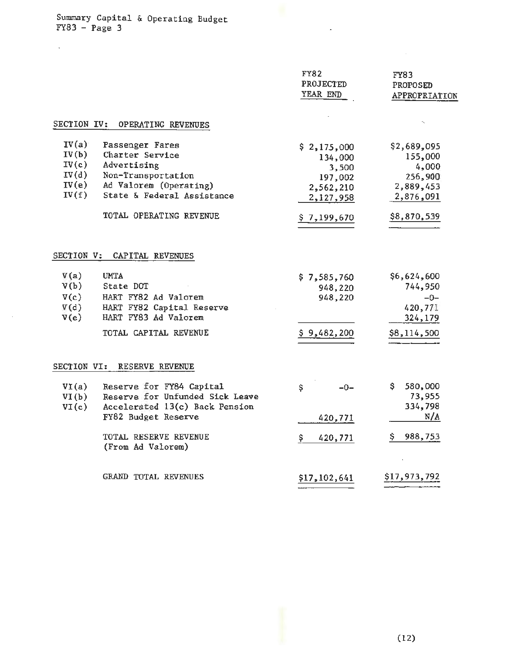Summary Capital & Operating Budget FY83 - Page 3

 $\mathcal{L}^{\pm}$ 

 $\sim$ 

|                                                    |                                                                                                                                                               | <b>FY82</b><br>PROJECTED<br>YEAR END                                 | FY83<br><b>PROPOSED</b><br>APPROPRIATION                             |
|----------------------------------------------------|---------------------------------------------------------------------------------------------------------------------------------------------------------------|----------------------------------------------------------------------|----------------------------------------------------------------------|
| SECTION IV:                                        | OPERATING REVENUES                                                                                                                                            |                                                                      |                                                                      |
| IV(a)<br>IV(b)<br>IV(c)<br>IV(d)<br>IV(e)<br>IV(f) | Passenger Fares<br>Charter Service<br>Advertising<br>Non-Transportation<br>Ad Valorem (Operating)<br>State & Federal Assistance                               | \$2,175,000<br>134,000<br>3,500<br>197,002<br>2,562,210<br>2,127,958 | \$2,689,095<br>155,000<br>4,000<br>256,900<br>2,889,453<br>2,876,091 |
|                                                    | TOTAL OPERATING REVENUE                                                                                                                                       | \$7,199,670                                                          | \$8,870,539                                                          |
| V(a)<br>V(b)<br>V(c)<br>V(d)<br>V(e)               | SECTION V: CAPITAL REVENUES<br><b>UMTA</b><br>State DOT<br>HART FY82 Ad Valorem<br>HART FY82 Capital Reserve<br>HART FY83 Ad Valorem<br>TOTAL CAPITAL REVENUE | \$7,585,760<br>948,220<br>948,220<br>\$9,482,200                     | \$6,624,600<br>744,950<br>$-0-$<br>420,771<br>324,179<br>\$8,114,500 |
| SECTION VI:                                        | RESERVE REVENUE                                                                                                                                               |                                                                      |                                                                      |
| VI(a)<br>VI(b)<br>VI(c)                            | Reserve for FY84 Capital<br>Reserve for Unfunded Sick Leave<br>Accelerated 13(c) Back Pension<br>FY82 Budget Reserve                                          | \$<br>$-0-$<br>420,771                                               | 580,000<br>Ş.<br>73,955<br>334,798<br>N/A                            |
|                                                    | TOTAL RESERVE REVENUE<br>(From Ad Valorem)                                                                                                                    | Ş.<br>420,771                                                        | 988,753<br>Ş                                                         |
|                                                    | GRAND TOTAL REVENUES                                                                                                                                          | \$17,102,641                                                         | \$17,973,792                                                         |

 $\overline{\phantom{a}}$ 

 $\mathcal{A}^{\mathcal{A}}$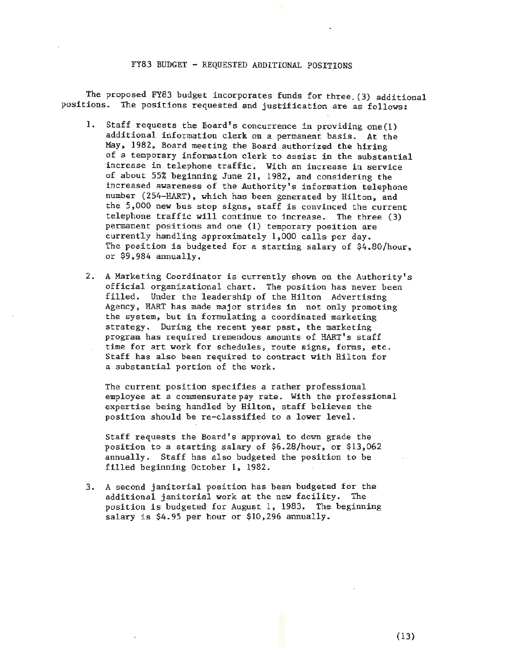#### FY83 BUDGET - REQUESTED ADDITIONAL POSITIONS

The proposed FY83 budget incorporates funds for three. (3) additional positions. The positions requested and justification are as follows:

- 1. Staff requests the Board's concurrence in providing one $(1)$ additional information clerk on a permanent basis. At the May, 1982, Board meeting the Board authorized the hiring of a temporary information clerk to assist in the substantial increase in telephone traffic. With an increase in service of about 55% beginning June 21, 1982, and considering the increased awareness of the Authority's information telephone number (254-HART), which has been generated by Hilton, and the 5,000 new bus stop signs, staff is convinced the current telephone traffic will continue to increase. The three (3) permanent positions and one (1) temporary position are currently handling approximately 1,000 calls per day. The position is budgeted for a starting salary of \$4.80/hour, or  $$9,984$  annually.
- 2. A Marketing Coordinator is currently shown on the Authority's official organizational chart. The position has never been filled. Under the leadership of the Hilton Advertising Agency, HART has made major strides in not only promoting the system, but in formulating a coordinated marketing strategy. During the recent year past, the marketing program has required tremendous amounts of HART's staff time for art work for schedules, route signs, forms, etc. Staff has also been required to contract with Hilton for a substantial portion of the work.

The current position specifies a rather professional employee at a commensuratepay rate. With the professional expertise being handled by Hilton, staff believes the position should be re-classified to a lower level.

Staff requests the Board 's approval to down grade the position to a starting salary of  $$6.28/hour$ , or  $$13,062$ annually. Staff has also budgeted the position to be filled beginning October 1, 1982.

3. A second janitorial position has been budgeted for the additional janitorial work at the new facility. The position is budgeted for August 1, 1983. The beginning salary is \$4.95 per hour or \$10 , 296 annually.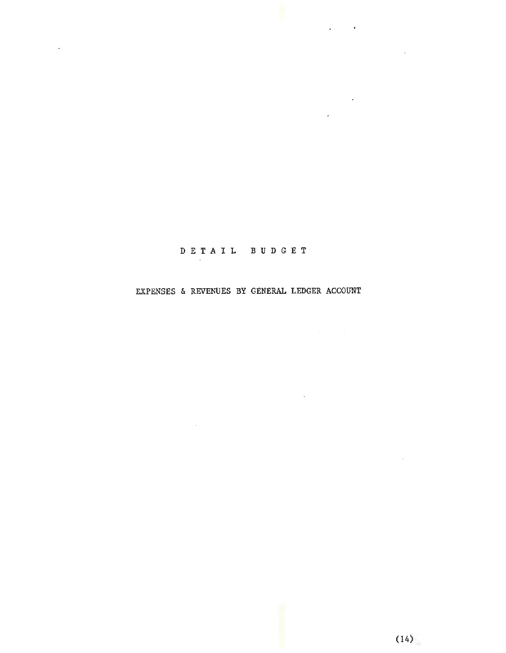# D E T A I L B U D G E T

 $\label{eq:2.1} \mathcal{L}(\mathcal{L}^{\text{max}}_{\mathcal{L}}(\mathcal{L}^{\text{max}}_{\mathcal{L}}(\mathcal{L}^{\text{max}}_{\mathcal{L}}(\mathcal{L}^{\text{max}}_{\mathcal{L}^{\text{max}}_{\mathcal{L}}}))))$ 

 $\mathcal{L}^{\mathcal{L}}(\mathcal{L}^{\mathcal{L}}(\mathcal{L}^{\mathcal{L}}(\mathcal{L}^{\mathcal{L}}(\mathcal{L}^{\mathcal{L}}(\mathcal{L}^{\mathcal{L}}(\mathcal{L}^{\mathcal{L}})))$ 

 $\mathcal{L}$ 

## EXPENSES & REVENUES BY GENERAL LEDGER ACCOUNT

 $\sim 10^{-11}$ 

 $\sim$   $\sim$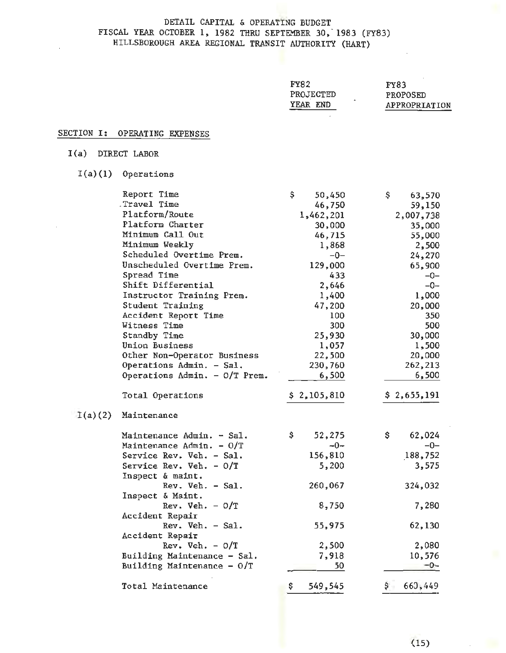### DETAIL CAPITAL & OPERATING BUDGET FISCAL YEAR OCTOBER 1, 1982 THRU SEPTEMBER 30, 1983 (FY83) HILLSBOROUGH AREA REGIONAL TRANSIT AUTHORITY (HART)

| <b>FY83</b>     |
|-----------------|
| <b>PROPOSED</b> |
| APPROPRIATION   |
|                 |

### SECTION I: OPERATING EXPENSES

### I(a) DIRECT LABOR

I(a) (1) Operations

|         | Report Time                          | \$<br>50,450  | \$  | 63,570      |
|---------|--------------------------------------|---------------|-----|-------------|
|         | Travel Time                          | 46,750        |     | 59,150      |
|         | Platform/Route                       | 1,462,201     |     | 2,007,738   |
|         | Platform Charter                     | 30,000        |     | 35,000      |
|         | Minimum Call Out                     | 46,715        |     | 55,000      |
|         | Minimum Weekly                       | 1,868         |     | 2,500       |
|         | Scheduled Overtime Prem.             | $-0-$         |     | 24,270      |
|         | Unscheduled Overtime Prem.           | 129,000       |     | 65,900      |
|         | Spread Time                          | 433           |     | $-0-$       |
|         | Shift Differential                   | 2,646         |     | $-0-$       |
|         | Instructor Training Prem.            | 1,400         |     | 1,000       |
|         | Student Training                     | 47,200        |     | 20,000      |
|         | Accident Report Time                 | 100           |     | 350         |
|         | Witness Time                         | 300           |     | 500         |
|         | Standby Time                         | 25,930        |     | 30,000      |
|         | Union Business                       | 1,057         |     | 1,500       |
|         | Other Non-Operator Business          | 22,500        |     | 20,000      |
|         | Operations Admin. - Sal.             | 230,760       |     | 262,213     |
|         | Operations Admin. $-$ O/T Prem.      | 6,500         |     | 6,500       |
|         | Total Operations                     | \$2,105,810   |     | \$2,655,191 |
| I(a)(2) | Maintenance                          |               |     |             |
|         | Maintenance Admin. - Sal.            | \$<br>52,275  | \$. | 62,024      |
|         | Maintenance Admin. - O/T             | $-0-$         |     | $-0-$       |
|         | Service Rev. Veh. - Sal.             | 156,810       |     | 188,752     |
|         | Service Rev. Veh. - 0/T              | 5,200         |     | 3,575       |
|         | Inspect & maint.<br>Rev. Veh. - Sal. | 260,067       |     | 324,032     |
|         | Inspect & Maint.<br>Rev. Veh. $-0/T$ | 8,750         |     | 7,280       |
|         | Accident Repair                      |               |     |             |
|         | Rev. Veh. - Sal.                     | 55,975        |     | 62,130      |
|         | Accident Repair<br>Rev. Veh. $-0/T$  | 2,500         |     | 2,080       |
|         | Building Maintenance - Sal.          | 7,918         |     | 10,576      |
|         | Building Maintenance - 0/T           | 50            |     | $-0-$       |
|         |                                      |               |     |             |
|         | Total Maintenance                    | \$<br>549,545 | Ş.  | 660,449     |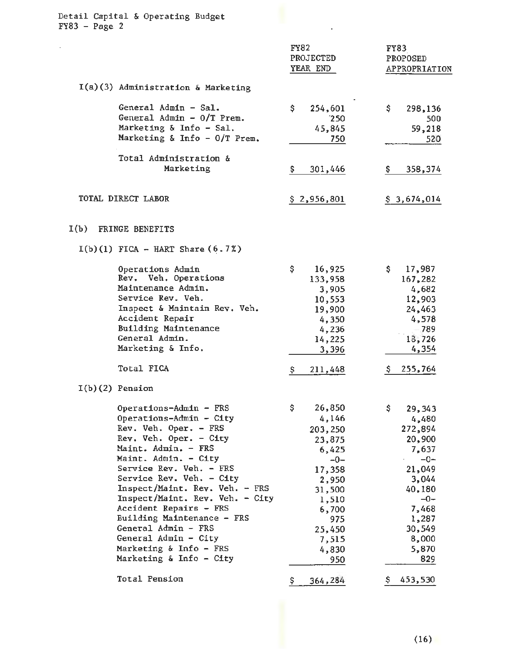| Detail Capital & Operating Budget<br>$FY83 - Page 2$                                                                                                                                                                                                                                                                                                                                                                                                                              |                                                                                                                                                       |                                                                                                                                                                       |
|-----------------------------------------------------------------------------------------------------------------------------------------------------------------------------------------------------------------------------------------------------------------------------------------------------------------------------------------------------------------------------------------------------------------------------------------------------------------------------------|-------------------------------------------------------------------------------------------------------------------------------------------------------|-----------------------------------------------------------------------------------------------------------------------------------------------------------------------|
|                                                                                                                                                                                                                                                                                                                                                                                                                                                                                   | <b>FY82</b><br>PROJECTED<br>YEAR END                                                                                                                  | <b>FY83</b><br>PROPOSED<br>APPROPRIATION                                                                                                                              |
| $I(a)(3)$ Administration & Marketing                                                                                                                                                                                                                                                                                                                                                                                                                                              |                                                                                                                                                       |                                                                                                                                                                       |
| General Admin - Sal.<br>General Admin - 0/T Prem.<br>Marketing & Info - Sal.<br>Marketing & Info - 0/T Prem.                                                                                                                                                                                                                                                                                                                                                                      | \$<br>254,601<br>250<br>45,845<br>750                                                                                                                 | \$.<br>298,136<br>500<br>59,218<br>520                                                                                                                                |
| Total Administration &<br>Marketing                                                                                                                                                                                                                                                                                                                                                                                                                                               | \$.<br>301,446                                                                                                                                        | \$.<br>358,374                                                                                                                                                        |
| TOTAL DIRECT LABOR                                                                                                                                                                                                                                                                                                                                                                                                                                                                | \$2,956,801                                                                                                                                           | \$3,674,014                                                                                                                                                           |
| I(b)<br>FRINGE BENEFITS                                                                                                                                                                                                                                                                                                                                                                                                                                                           |                                                                                                                                                       |                                                                                                                                                                       |
| $I(b)(1)$ FICA - HART Share $(6.72)$                                                                                                                                                                                                                                                                                                                                                                                                                                              |                                                                                                                                                       |                                                                                                                                                                       |
| Operations Admin<br>Rev. Veh. Operations<br>Maintenance Admin.<br>Service Rev. Veh.<br>Inspect & Maintain Rev. Veh.<br>Accident Repair<br>Building Maintenance<br>General Admin.<br>Marketing & Info.                                                                                                                                                                                                                                                                             | \$<br>16,925<br>133,958<br>3,905<br>10,553<br>19,900<br>4,350<br>4,236<br>14,225<br>3,396                                                             | \$.<br>17,987<br>167,282<br>4,682<br>12,903<br>24,463<br>4,578<br>.789<br>18,726<br>4,354                                                                             |
| Total FICA                                                                                                                                                                                                                                                                                                                                                                                                                                                                        | \$<br>211,448                                                                                                                                         | 255,764<br>Ş.                                                                                                                                                         |
| $I(b)(2)$ Pension<br>Operations-Admin - FRS<br>Operations-Admin - City<br>Rev. Veh. Oper. - FRS<br>Rev. Veh. Oper. - City<br>Maint. Admin. - FRS<br>Maint. Admin. - City<br>Service Rev. Veh. - FRS<br>Service Rev. Veh. - City<br>Inspect/Maint. Rev. Veh. - FRS<br>Inspect/Maint. Rev. Veh. - City<br>Accident Repairs - FRS<br>Building Maintenance - FRS<br>General Admin - FRS<br>General Admin - City<br>Marketing & Info - FRS<br>Marketing & Info - City<br>Total Pension | \$<br>26,850<br>4,146<br>203,250<br>23,875<br>6,425<br>$-0-$<br>17,358<br>2,950<br>31,500<br>1,510<br>6,700<br>975<br>25,450<br>7,515<br>4,830<br>950 | \$.<br>29,343<br>4,480<br>272,894<br>20,900<br>7,637<br>$-0-$<br>21,049<br>3,044<br>40,180<br>$-0-$<br>7,468<br>1,287<br>30,549<br>8,000<br>5,870<br>829<br>\$453,530 |
|                                                                                                                                                                                                                                                                                                                                                                                                                                                                                   | 364,284<br>\$.                                                                                                                                        |                                                                                                                                                                       |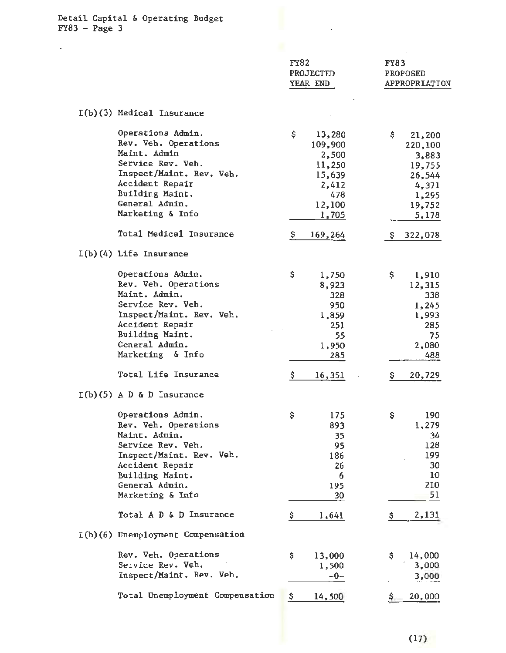$\sim$ 

|                                                                                                                                                                                         | <b>FY82</b><br>PROJECTED<br>YEAR END                                                    | FY83<br><b>PROPOSED</b><br>APPROPRIATION                                                  |
|-----------------------------------------------------------------------------------------------------------------------------------------------------------------------------------------|-----------------------------------------------------------------------------------------|-------------------------------------------------------------------------------------------|
| I(b)(3) Medical Insurance                                                                                                                                                               |                                                                                         |                                                                                           |
| Operations Admin.<br>Rev. Veh. Operations<br>Maint. Admin<br>Service Rev. Veh.<br>Inspect/Maint. Rev. Veh.<br>Accident Repair<br>Building Maint.<br>General Admin.<br>Marketing & Info  | \$<br>13,280<br>109,900<br>2,500<br>11,250<br>15,639<br>2,412<br>478<br>12,100<br>1,705 | \$<br>21,200<br>220,100<br>3,883<br>19,755<br>26,544<br>4,371<br>1,295<br>19,752<br>5,178 |
| Total Medical Insurance                                                                                                                                                                 | \$<br>169,264                                                                           | 322,078<br>S.                                                                             |
| $I(b)(4)$ Life Insurance                                                                                                                                                                |                                                                                         |                                                                                           |
| Operations Admin.<br>Rev. Veh. Operations<br>Maint. Admin.<br>Service Rev. Veh.<br>Inspect/Maint. Rev. Veh.<br>Accident Repair<br>Building Maint.<br>General Admin.<br>Marketing & Info | \$<br>1,750<br>8,923<br>328<br>950<br>1,859<br>251<br>55<br>1,950<br>285                | \$.<br>1,910<br>12,315<br>338<br>1,245<br>1,993<br>285<br>75<br>2,080<br>488              |
| Total Life Insurance                                                                                                                                                                    | \$<br>16,351                                                                            | 20,729<br>\$                                                                              |
| $I(b)(5)$ A D & D Insurance                                                                                                                                                             |                                                                                         |                                                                                           |
| Operations Admin.<br>Rev. Veh. Operations<br>Maint. Admin.<br>Service Rev. Veh.<br>Inspect/Maint. Rev. Veh.<br>Accident Repair<br>Building Maint.<br>General Admin.<br>Marketing & Info | \$<br>175<br>893<br>35<br>95<br>186<br>26<br>6<br>195<br>30                             | \$<br>190<br>1,279<br>34<br>128<br>199<br>30<br>10<br>210<br>51                           |
| Total A D & D Insurance                                                                                                                                                                 | \$<br><u>1,641</u>                                                                      | 2,131<br>\$                                                                               |
| I(b)(6) Unemployment Compensation                                                                                                                                                       |                                                                                         |                                                                                           |
| Rev. Veh. Operations<br>Service Rev. Veh.<br>Inspect/Maint. Rev. Veh.<br>Total Unemployment Compensation                                                                                | \$<br>13,000<br>1,500<br>$-0-$<br>\$<br>14,500                                          | \$<br>14,000<br>3,000<br>3,000<br>20,000                                                  |
|                                                                                                                                                                                         |                                                                                         |                                                                                           |

 $\mathcal{L}^{\text{max}}_{\text{max}}$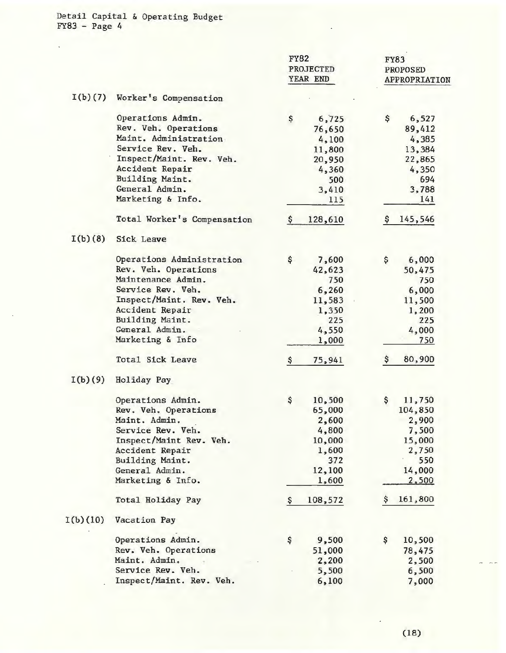$\mathcal{L}^{\text{max}}$ 

|          |                             | <b>FY82</b><br>PROJECTED<br>YEAR END | <b>FY83</b><br>PROPOSED<br>APPROPRIATION |
|----------|-----------------------------|--------------------------------------|------------------------------------------|
| I(b)(7)  | Worker's Compensation       |                                      |                                          |
|          | Operations Admin.           | \$<br>6,725                          | \$<br>6,527                              |
|          | Rev. Veh. Operations        | 76,650                               | 89,412                                   |
|          | Maint. Administration       | 4,100                                | 4,385                                    |
|          | Service Rev. Veh.           | 11,800                               | 13,384                                   |
|          | Inspect/Maint. Rev. Veh.    | 20,950                               | 22,865                                   |
|          | Accident Repair             | 4,360                                | 4,350                                    |
|          | Building Maint.             | 500                                  | 694                                      |
|          | General Admin.              | 3,410                                | 3,788                                    |
|          | Marketing & Info.           | 115                                  | 141                                      |
|          | Total Worker's Compensation | 128,610<br>\$.                       | 145,546<br>s                             |
| I(b)(8)  | Sick Leave                  |                                      |                                          |
|          | Operations Administration   | \$<br>7,600                          | \$<br>6,000                              |
|          | Rev. Veh. Operations        | 42,623                               | 50,475                                   |
|          | Maintenance Admin.          | 750                                  | 750                                      |
|          | Service Rev. Veh.           | 6,260                                | 6,000                                    |
|          | Inspect/Maint. Rev. Veh.    | 11,583                               | 11,500                                   |
|          | Accident Repair             | 1,350                                | 1,200                                    |
|          | Building Maint.             | 225                                  | 225                                      |
|          | General Admin.              | 4,550                                | 4,000                                    |
|          | Marketing & Info            | 1,000                                | 750                                      |
|          | Total Sick Leave            | \$<br>75,941                         | 80,900<br>\$                             |
| I(b)(9)  | Holiday Pay                 |                                      |                                          |
|          | Operations Admin.           | \$<br>10,500                         | \$<br>11,750                             |
|          | Rev. Veh. Operations        | 65,000                               | 104,850                                  |
|          | Maint. Admin.               | 2,600                                | 2,900                                    |
|          | Service Rev. Veh.           | 4,800                                | 7,500                                    |
|          | Inspect/Maint Rev. Veh.     | 10,000                               | 15,000                                   |
|          | Accident Repair             | 1,600                                | 2,750                                    |
|          | Building Maint.             | 372                                  | 550                                      |
|          | General Admin.              | 12,100                               | 14,000                                   |
|          | Marketing & Info.           | 1,600                                | 2,500                                    |
|          | Total Holiday Pay           | 108,572<br>\$.                       | 161,800<br>Ş                             |
| I(b)(10) | Vacation Pay                |                                      |                                          |
|          | Operations Admin.           | \$<br>9,500                          | \$<br>10,500                             |
|          | Rev. Veh. Operations        | 51,000                               | 78,475                                   |
|          | Maint. Admin.               | 2,200                                | 2,500                                    |
|          | Service Rev. Veh.           | 5,500                                | 6,500                                    |
|          | Inspect/Maint. Rev. Veh.    | 6,100                                | 7,000                                    |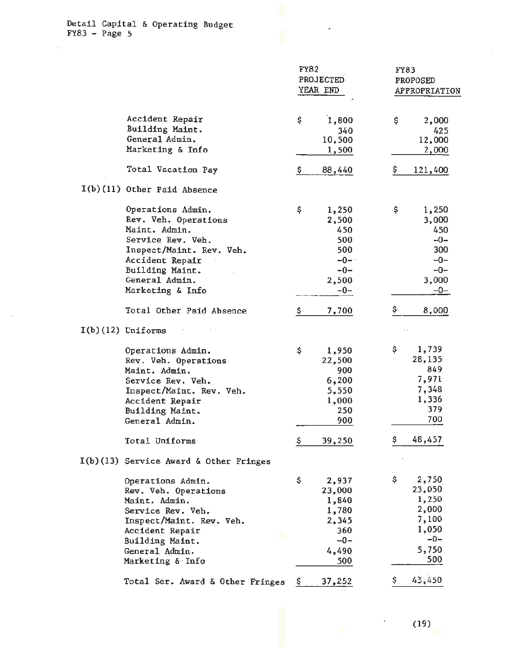$\ddot{\phantom{a}}$ 

|                                                                                                                                                                                         | <b>FY82</b><br><b>PROJECTED</b><br>YEAR END                                      | FY83<br><b>PROPOSED</b><br>APPROPRIATION                                           |
|-----------------------------------------------------------------------------------------------------------------------------------------------------------------------------------------|----------------------------------------------------------------------------------|------------------------------------------------------------------------------------|
| Accident Repair<br>Building Maint.<br>General Admin.<br>Marketing & Info                                                                                                                | \$<br>1,800<br>340<br>10,500<br>1,500                                            | \$<br>2,000<br>425<br>12,000<br>2,000                                              |
| Total Vacation Pay                                                                                                                                                                      | Ş.<br>88,440                                                                     | \$<br>121,400                                                                      |
| I(b)(11) Other Paid Absence                                                                                                                                                             |                                                                                  |                                                                                    |
| Operations Admin.<br>Rev. Veh. Operations<br>Maint. Admin.<br>Service Rev. Veh.<br>Inspect/Maint. Rev. Veh.<br>Accident Repair<br>Building Maint.<br>General Admin.<br>Marketing & Info | \$<br>1,250<br>2,500<br>450<br>500<br>500<br>$-0-$<br>$-0-$<br>2,500<br>$-0-$    | 1,250<br>\$<br>3,000<br>450<br>$-0-$<br>300<br>$-0-$<br>$-0-$<br>3,000<br>$-0-$    |
| Total Other Paid Absence                                                                                                                                                                | Ş.<br>7,700                                                                      | \$<br>8,000                                                                        |
| $I(b)(12)$ Uniforms                                                                                                                                                                     |                                                                                  |                                                                                    |
| Operations Admin.<br>Rev. Veh. Operations<br>Maint. Admin.<br>Service Rev. Veh.<br>Inspect/Maint. Rev. Veh.<br>Accident Repair<br>Building Maint.<br>General Admin.                     | \$<br>1,950<br>22,500<br>900<br>6,200<br>5,550<br>1,000<br>250<br>900            | \$<br>1,739<br>28,135<br>849<br>7,971<br>7,348<br>1,336<br>379<br>700              |
| Total Uniforms                                                                                                                                                                          | <u>\$</u><br>39,250                                                              | \$<br>48,457                                                                       |
| $I(b)(13)$ Service Award & Other Fringes                                                                                                                                                |                                                                                  |                                                                                    |
| Operations Admin.<br>Rev. Veh. Operations<br>Maint. Admin.<br>Service Rev. Veh.<br>Inspect/Maint. Rev. Veh.<br>Accident Repair<br>Building Maint.<br>General Admin.<br>Marketing & Info | \$<br>2,937<br>23,000<br>1,840<br>1,780<br>2,345<br>360<br>$-0-$<br>4,490<br>500 | \$<br>2,750<br>23,050<br>1,250<br>2,000<br>7,100<br>1,050<br>$-0-$<br>5,750<br>500 |
| Total Ser. Award & Other Fringes                                                                                                                                                        | 37,252<br>Ş.                                                                     | 43,450<br>Ş.                                                                       |

 $\mathbb{Z}$ 

(19)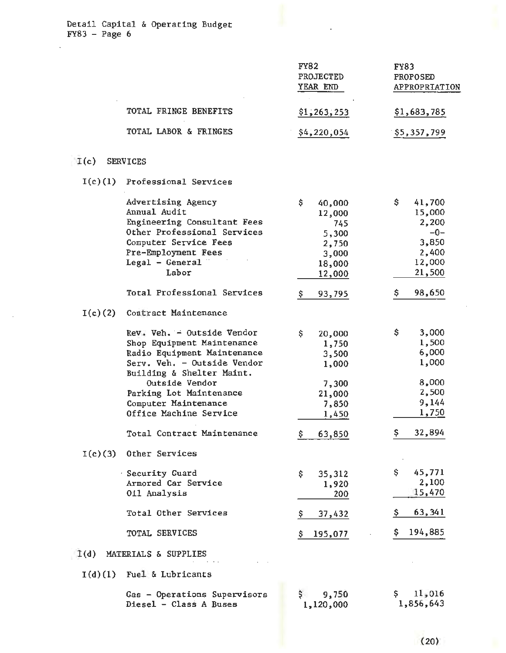TOTAL FRINGE BENEFITS TOTAL LABOR & FRINGES I(c) SERVICES I(c)(l) Professional Services Advertising Agency Annual Audit Engineering Consultant Fees Other Professional Services Computer Service Fees Pre- Employment Fees Legal - General  $\overline{\phantom{a}}$ Labor Total Professional Services I(c)(2) Contract Maintenance Rev. Veh. - Outside Vendor Shop Equipment Maintenance Radio Equipment Maintenance Serv. Veh. - Outside Vendor Building & Shelter Maint. Outside Vendor Parking Lot Maintenance Computer Maintenance Office Machine Service Total Contract Maintenance I(c)(3) Other Services Security Guard Armored Car Service Oil Analysis Total Other Services TOTAL SERVICES I(d) MATERIALS & SUPPLIES I(d)(l) Fuel & Lubricants Gas - Operations Supervisors Diesel - Class A Buses FY82 PROJECTED YEAR END  $$1, 263, 253$ \$4~220~054 \$ \$ 40,000 12,000 745 5,300 2,750 3,000 18,000 12,000 93,795 \$ 20,000 1,750 3,500 1,000 7,300 21,000 *7,850*  1,450  $$63,850$ \$ 35,312 1,920 200  $$37,432$ \$ 195,077 9,750 1,120,000 FY83 PROPOSED APPROPRIATION \$1,683, 785. \$5,357,799 \$ \$ \$ \$ 41,700 15,000 2,200 -0- 3, 850 2,400 12,000 21,500 98,650 *3,000*  1,500 6,000 1,000 8,000 2,500 9,144 1,750 32,894  $$ 45,771$ 2,100 15,470 \$ 63,341 \$ 194,885  $$11,016$ 1,856,643

(20)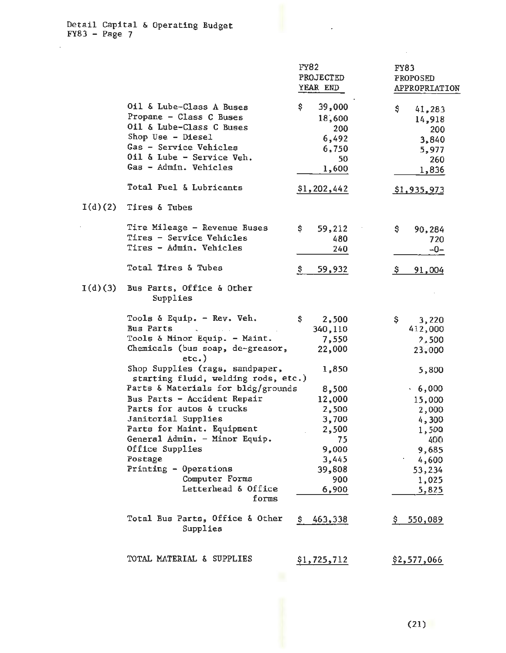$\bar{z}$ 

ý.

|         |                                                                        | <b>FY82</b><br>PROJECTED | <b>FY83</b><br><b>PROPOSED</b> |
|---------|------------------------------------------------------------------------|--------------------------|--------------------------------|
|         |                                                                        | YEAR END                 | APPROPRIATION                  |
|         | Oil & Lube-Class A Buses<br>Propane - Class C Buses                    | \$.<br>39,000<br>18,600  | \$<br>41,283<br>14,918         |
|         | Oil & Lube-Class C Buses                                               | 200                      | 200                            |
|         | Shop Use - Diesel                                                      | 6,492                    | 3,840                          |
|         | Gas - Service Vehicles                                                 | 6,750                    | 5,977                          |
|         | Oil & Lube - Service Veh.                                              | 50                       | 260                            |
|         | Gas - Admin. Vehicles                                                  | 1,600                    | 1,836                          |
|         | Total Fuel & Lubricants                                                | \$1,202,442              | \$1,935,973                    |
| I(d)(2) | Tires & Tubes                                                          |                          |                                |
|         | Tire Mileage - Revenue Buses                                           | \$.<br>59,212            | \$<br>90,284                   |
|         | Tires - Service Vehicles                                               | 480                      | 720                            |
|         | Tires - Admin. Vehicles                                                | 240                      | -0-                            |
|         | Total Tires & Tubes                                                    | 59,932<br>\$.            | Ş.<br>91,004                   |
| I(d)(3) | Bus Parts, Office & Other<br>Supplies                                  |                          |                                |
|         | Tools $\delta$ Equip. - Rev. Veh.                                      | \$.<br>2,500             | \$.<br>3,220                   |
|         | <b>Bus Parts</b><br>and a state of                                     | 340,110                  | 412,000                        |
|         | Tools & Minor Equip. - Maint.                                          | 7,550                    | 2,500                          |
|         | Chemicals (bus soap, de-greasor,<br>$etc.$ )                           | 22,000                   | 23,000                         |
|         | Shop Supplies (rags, sandpaper,<br>starting fluid, welding rods, etc.) | 1,850                    | 5,800                          |
|         | Parts & Materials for bldg/grounds                                     | 8,500                    | .6,000                         |
|         | Bus Parts - Accident Repair                                            | 12,000                   | 15,000                         |
|         | Parts for autos & trucks                                               | 2,500                    | 2,000                          |
|         | Janitorial Supplies                                                    | 3,700                    | 4,300                          |
|         | Parts for Maint. Equipment                                             | 2,500                    | 1,500                          |
|         | General Admin. - Minor Equip.                                          | 75                       | 400                            |
|         | Office Supplies                                                        | 9,000                    | 9,685                          |
|         | Postage                                                                | 3,445                    | 4,600                          |
|         | Printing - Operations                                                  | 39,808                   | 53,234                         |
|         | Computer Forms                                                         | 900                      | 1,025                          |
|         | Letterhead & Office<br>forms                                           | 6,900                    | 5,825                          |
|         | Total Bus Parts, Office & Other<br>Supplies                            | 463,338<br>\$            | 550,089                        |
|         | TOTAL MATERIAL & SUPPLIES                                              | \$1,725,712              | \$2,577,066                    |

l,

 $\ddot{\phantom{a}}$ 

(21)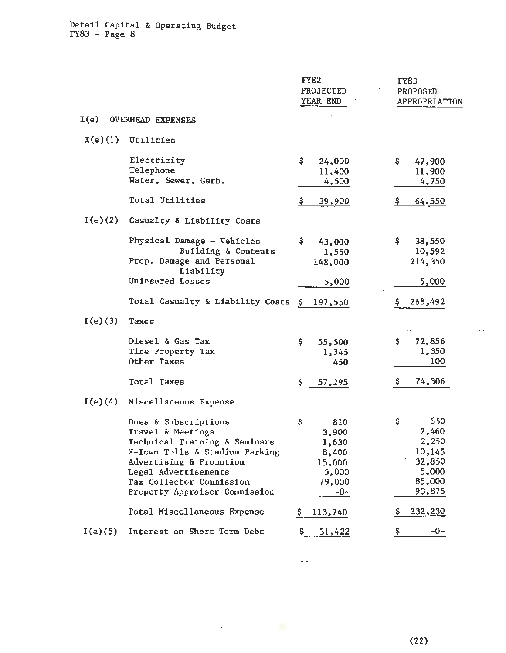$\mathbb{R}^2$ 

 $\overline{a}$ 

|            |                                                                                                                                                                                                                              | <b>FY82</b><br>PROJECTED<br>YEAR END                                       | FY83<br>PROPOSED<br>APPROPRIATION                                            |
|------------|------------------------------------------------------------------------------------------------------------------------------------------------------------------------------------------------------------------------------|----------------------------------------------------------------------------|------------------------------------------------------------------------------|
| I(e)       | <b>OVERHEAD EXPENSES</b>                                                                                                                                                                                                     |                                                                            |                                                                              |
| $I(e)$ (1) | Utilities                                                                                                                                                                                                                    |                                                                            |                                                                              |
|            | Electricity<br>Telephone<br>Water, Sewer, Garb.                                                                                                                                                                              | \$.<br>24,000<br>11,400<br>4,500                                           | \$<br>47,900<br>11,900<br>4,750                                              |
|            | Total Utilities                                                                                                                                                                                                              | \$.<br>39,900                                                              | \$<br>64,550                                                                 |
| $I(e)$ (2) | Casualty & Liability Costs                                                                                                                                                                                                   |                                                                            |                                                                              |
|            | Physical Damage - Vehicles<br>Building & Contents<br>Prop. Damage and Personal<br>Liability                                                                                                                                  | \$.<br>43,000<br>1,550<br>148,000                                          | \$.<br>38,550<br>10,592<br>214,350                                           |
|            | Uninsured Losses                                                                                                                                                                                                             | 5,000                                                                      | 5,000                                                                        |
|            | Total Casualty & Liability Costs                                                                                                                                                                                             | Ş.<br>197,550                                                              | 268,492                                                                      |
| I(e)(3)    | Taxes                                                                                                                                                                                                                        |                                                                            |                                                                              |
|            | Diesel & Gas Tax<br>Tire Property Tax<br>Other Taxes                                                                                                                                                                         | \$<br>55,500<br>1,345<br>450                                               | 72,856<br>\$.<br>1,350<br>100                                                |
|            | Total Taxes                                                                                                                                                                                                                  | 57,295<br>Ş.                                                               | 74,306<br>Ş.                                                                 |
| I(e)(4)    | Miscellaneous Expense                                                                                                                                                                                                        |                                                                            |                                                                              |
|            | Dues & Subscriptions<br>Travel & Meetings<br>Technical Training & Seminars<br>X-Town Tolls & Stadium Parking<br>Advertising & Promotion<br>Legal Advertisements<br>Tax Collector Commission<br>Property Appraiser Commission | \$<br>810<br>3,900<br>1,630<br>8,400<br>15,000<br>5,000<br>79,000<br>$-0-$ | \$<br>650<br>2,460<br>2,250<br>10,145<br>32,850<br>5,000<br>85,000<br>93,875 |
|            | Total Miscellaneous Expense                                                                                                                                                                                                  | 113,740<br>s                                                               | 232,230                                                                      |
| I(e)(5)    | Interest on Short Term Debt                                                                                                                                                                                                  | 31,422<br>Ş.                                                               | Ş.<br>-0-                                                                    |

 $\omega_{\rm{eff}}$ 

¥.

 $\bar{\epsilon}$ 

 $\ddot{\phantom{0}}$ 

(22)

 $\mathcal{A}^{\mathcal{A}}$ 

 $\mathcal{L}^{\mathcal{L}}$  .

 $\overline{a}$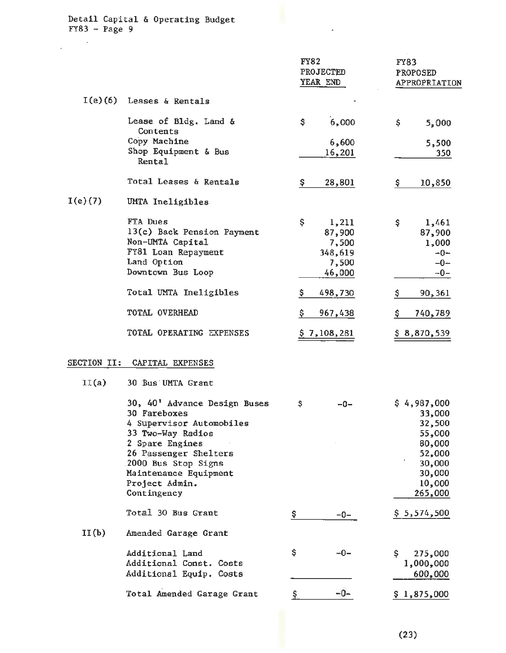$\sim$ 

J.

|            |                                                                                                                                                                                                                            | <b>FY82</b><br><b>PROJECTED</b><br>YEAR END                  | <b>FY83</b><br><b>PROPOSED</b><br>APPROPRIATION                                                        |
|------------|----------------------------------------------------------------------------------------------------------------------------------------------------------------------------------------------------------------------------|--------------------------------------------------------------|--------------------------------------------------------------------------------------------------------|
| $I(e)$ (6) | Leases & Rentals                                                                                                                                                                                                           |                                                              |                                                                                                        |
|            | Lease of Bldg. Land &<br>Contents                                                                                                                                                                                          | 6,000<br>\$                                                  | \$.<br>5,000                                                                                           |
|            | Copy Machine<br>Shop Equipment & Bus<br>Rental                                                                                                                                                                             | 6,600<br>16,201                                              | 5,500<br>350                                                                                           |
|            | Total Leases & Rentals                                                                                                                                                                                                     | 28,801<br>Ş.                                                 | 10,850<br>Ş                                                                                            |
| I(e)(7)    | UMTA Ineligibles                                                                                                                                                                                                           |                                                              |                                                                                                        |
|            | FTA Dues<br>13(c) Back Pension Payment<br>Non-UMTA Capital<br>FY81 Loan Repayment<br>Land Option<br>Downtown Bus Loop                                                                                                      | \$<br>1,211<br>87,900<br>7,500<br>348,619<br>7,500<br>46,000 | \$<br>1,461<br>87,900<br>1,000<br>$-0-$<br>$-0-$<br>$-0-$                                              |
|            | Total UMTA Ineligibles                                                                                                                                                                                                     | \$.<br>498,730                                               | Ş.<br>90,361                                                                                           |
|            | TOTAL OVERHEAD                                                                                                                                                                                                             | \$<br>967,438                                                | 740,789<br>Ş.                                                                                          |
|            | TOTAL OPERATING EXPENSES                                                                                                                                                                                                   | \$7,108,281                                                  | \$8,870,539                                                                                            |
|            | SECTION II: CAPITAL EXPENSES                                                                                                                                                                                               |                                                              |                                                                                                        |
| II(a)      | 30 Bus UMTA Grant                                                                                                                                                                                                          |                                                              |                                                                                                        |
|            | 30, 40' Advance Design Buses<br>30 Fareboxes<br>4 Supervisor Automobiles<br>33 Two-Way Radios<br>2 Spare Engines<br>26 Passenger Shelters<br>2000 Bus Stop Signs<br>Maintenance Equipment<br>Project Admin.<br>Contingency | \$<br>-0-                                                    | \$4,987,000<br>33,000<br>32,500<br>55,000<br>80,000<br>52,000<br>30,000<br>30,000<br>10,000<br>265,000 |
|            | Total 30 Bus Grant                                                                                                                                                                                                         | \$<br>$-0-$                                                  | \$5,574,500                                                                                            |
| II(b)      | Amended Garage Grant                                                                                                                                                                                                       |                                                              |                                                                                                        |
|            | Additional Land<br>Additional Const. Costs<br>Additional Equip. Costs                                                                                                                                                      | \$<br>$-0-$                                                  | \$<br>275,000<br>1,000,000<br>600,000                                                                  |
|            | Total Amended Garage Grant                                                                                                                                                                                                 | $-0-$<br>\$.                                                 | \$1,875,000                                                                                            |

 $\overline{\phantom{a}}$ 

 $\hat{\mathcal{A}}$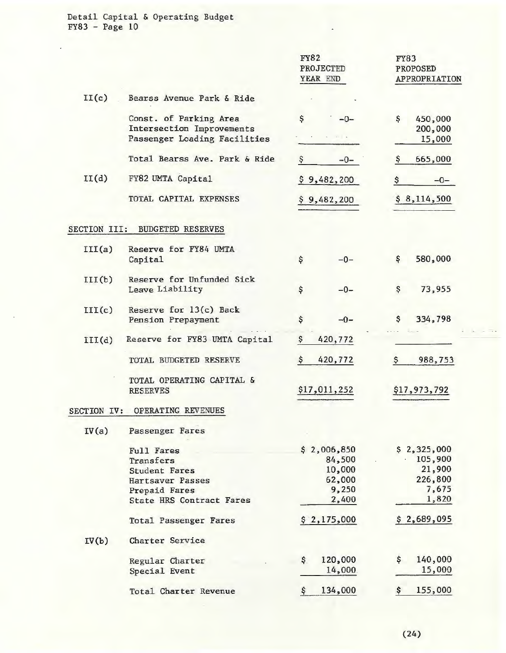|                     |                                                     | <b>FY82</b><br>PROJECTED<br>YEAR END | <b>FY83</b><br>PROPOSED<br>APPROPRIATION |
|---------------------|-----------------------------------------------------|--------------------------------------|------------------------------------------|
| II(c)               | Bearss Avenue Park & Ride                           |                                      |                                          |
|                     | Const. of Parking Area<br>Intersection Improvements | \$<br>$-0-$                          | \$<br>450,000<br>200,000                 |
|                     | Passenger Loading Facilities                        |                                      | 15,000                                   |
|                     | Total Bearss Ave. Park & Ride                       | \$<br>$-0-$                          | 665,000<br>Ş                             |
| II(d)               | FY82 UMTA Capital                                   | \$9,482,200                          | \$<br>$-0-$                              |
|                     | TOTAL CAPITAL EXPENSES                              | \$9,482,200                          | \$8,114,500                              |
| <b>SECTION III:</b> | <b>BUDGETED RESERVES</b>                            |                                      |                                          |
| III(a)              | Reserve for FY84 UMTA<br>Capital                    | \$<br>$-0-$                          | 580,000<br>\$                            |
| III(b)              | Reserve for Unfunded Sick<br>Leave Liability        | \$<br>$-0-$                          | \$<br>73,955                             |
| III(c)              | Reserve for 13(c) Back<br>Pension Prepayment        | \$<br>$-0-$                          | 334,798<br>\$                            |
| III(d)              | Reserve for FY83 UMTA Capital                       | Ş<br>420,772                         |                                          |
|                     | TOTAL BUDGETED RESERVE                              | \$<br>420,772                        | 988,753<br>\$                            |
|                     | TOTAL OPERATING CAPITAL &<br><b>RESERVES</b>        | \$17,011,252                         | \$17,973,792                             |
| SECTION IV:         | OPERATING REVENUES                                  |                                      |                                          |
| IV(a)               | Passenger Fares                                     |                                      |                                          |
|                     | <b>Full Fares</b>                                   | \$2,006,850                          | \$2,325,000                              |
|                     | Transfers                                           | 84,500                               | 105,900                                  |
|                     | <b>Student Fares</b>                                | 10,000                               | 21,900                                   |
|                     | Hartsaver Passes                                    | 62,000                               | 226,800                                  |
|                     | Prepaid Fares                                       | 9,250                                | 7,675                                    |
|                     | <b>State HRS Contract Fares</b>                     | 2,400                                | 1,820                                    |
|                     | Total Passenger Fares                               | \$2,175,000                          | \$2,689,095                              |
| IV(b)               | Charter Service                                     |                                      |                                          |
|                     | Regular Charter                                     | \$<br>120,000                        | 140,000<br>\$                            |
|                     | Special Event                                       | 14,000                               | 15,000                                   |
|                     | Total Charter Revenue                               | 134,000<br>Ş                         | 155,000<br>\$                            |

l,

 $\omega = \pm \sqrt{2}$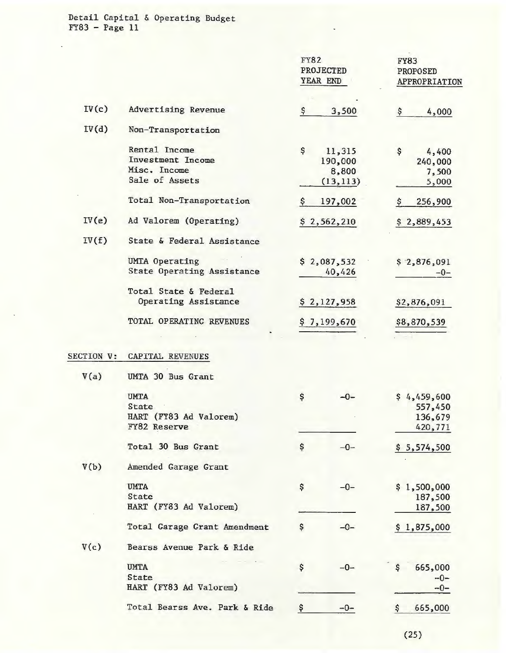|            |                                                                       | <b>FY82</b><br>PROJECTED<br>YEAR END |                                         | <b>FY83</b><br>PROPOSED<br>APPROPRIATION     |
|------------|-----------------------------------------------------------------------|--------------------------------------|-----------------------------------------|----------------------------------------------|
| IV(c)      | Advertising Revenue                                                   | \$                                   | 3,500                                   | \$<br>4,000                                  |
| IV(d)      | Non-Transportation                                                    |                                      |                                         |                                              |
|            | Rental Income<br>Investment Income<br>Misc. Income<br>Sale of Assets  | \$                                   | 11,315<br>190,000<br>8,800<br>(13, 113) | \$<br>4,400<br>240,000<br>7,500<br>5,000     |
|            | Total Non-Transportation                                              | \$                                   | 197,002                                 | 256,900<br>\$                                |
| IV(e)      | Ad Valorem (Operating)                                                |                                      | \$2,562,210                             | \$2,889,453                                  |
| IV(f)      | State & Federal Assistance                                            |                                      |                                         |                                              |
|            | <b>UMTA Operating</b><br><b>State Operating Assistance</b>            |                                      | \$2,087,532<br>40,426                   | \$2,876,091<br>$-0-$                         |
|            | Total State & Federal<br>Operating Assistance                         |                                      | \$2,127,958                             | \$2,876,091                                  |
|            | TOTAL OPERATING REVENUES                                              |                                      | \$7,199,670                             | \$8,870,539                                  |
| SECTION V: | CAPITAL REVENUES                                                      |                                      |                                         |                                              |
| V(a)       | UMTA 30 Bus Grant                                                     |                                      |                                         |                                              |
|            | <b>UMTA</b><br>State<br>HART (FY83 Ad Valorem)<br><b>FY82 Reserve</b> | \$                                   | $-0-$                                   | \$4,459,600<br>557,450<br>136,679<br>420,771 |
|            | Total 30 Bus Grant                                                    | \$                                   | $-0-$                                   | \$5,574,500                                  |
| V(b)       | Amended Garage Grant                                                  |                                      |                                         |                                              |
|            | <b>UMTA</b><br>State<br>HART (FY83 Ad Valorem)                        | \$                                   | $-0-$                                   | \$1,500,000<br>187,500<br>187,500            |
|            | Total Garage Grant Amendment                                          | Ş                                    | $-0-$                                   | \$1,875,000                                  |
| V(c)       | Bearss Avenue Park & Ride                                             |                                      |                                         |                                              |
|            | <b>UMTA</b><br>State<br>HART (FY83 Ad Valorem)                        | \$                                   | $-0-$                                   | 665,000<br>\$<br>$-0-$<br>$-0-$              |
|            | Total Bearss Ave. Park & Ride                                         | \$                                   | $-0-$                                   | \$<br>665,000                                |

(25)